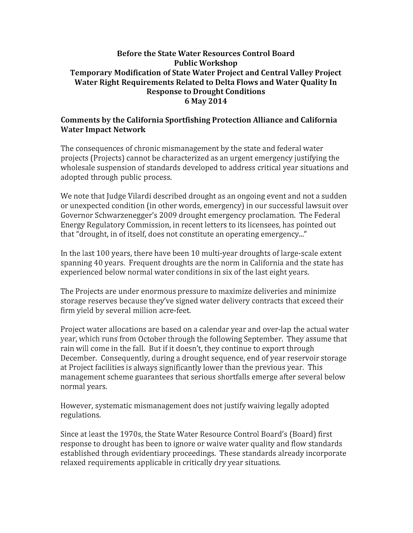## Before the State Water Resources Control Board Public Workshop Temporary Modification of State Water Project and Central Valley Project Water Right Requirements Related to Delta Flows and Water Quality In Response to Drought Conditions 6 May 2014

## Comments by the California Sportfishing Protection Alliance and California Water Impact Network

The consequences of chronic mismanagement by the state and federal water projects (Projects) cannot be characterized as an urgent emergency justifying the wholesale suspension of standards developed to address critical year situations and adopted through public process.

We note that Judge Vilardi described drought as an ongoing event and not a sudden or unexpected condition (in other words, emergency) in our successful lawsuit over Governor Schwarzenegger's 2009 drought emergency proclamation. The Federal Energy Regulatory Commission, in recent letters to its licensees, has pointed out that "drought, in of itself, does not constitute an operating emergency..."

In the last 100 years, there have been 10 multi-year droughts of large-scale extent spanning 40 years. Frequent droughts are the norm in California and the state has experienced below normal water conditions in six of the last eight years.

The Projects are under enormous pressure to maximize deliveries and minimize storage reserves because they've signed water delivery contracts that exceed their firm yield by several million acre-feet.

Project water allocations are based on a calendar year and over-lap the actual water year, which runs from October through the following September. They assume that rain will come in the fall. But if it doesn't, they continue to export through December. Consequently, during a drought sequence, end of year reservoir storage at Project facilities is always significantly lower than the previous year. This management scheme guarantees that serious shortfalls emerge after several below normal years.

However, systematic mismanagement does not justify waiving legally adopted regulations.

Since at least the 1970s, the State Water Resource Control Board's (Board) first response to drought has been to ignore or waive water quality and flow standards established through evidentiary proceedings. These standards already incorporate relaxed requirements applicable in critically dry year situations.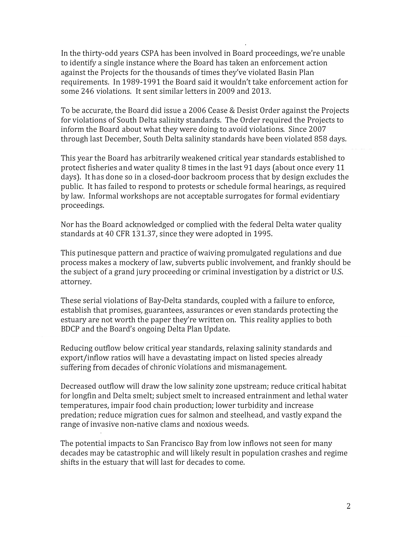In the thirty-odd years CSPA has been involved in Board proceedings, we're unable to identify a single instance where the Board has taken an enforcement action against the Projects for the thousands of times they've violated Basin Plan requirements. In 1989-1991 the Board said it wouldn't take enforcement action for some 246 violations. It sent similar letters in 2009 and 2013.

To be accurate, the Board did issue a 2006 Cease & Desist Order against the Projects for violations of South Delta salinity standards. The Order required the Projects to inform the Board about what they were doing to avoid violations. Since 2007 through last December, South Delta salinity standards have been violated 858 days.

This year the Board has arbitrarily weakened critical year standards established to protect fisheries and water quality 8 times in the last 91 days (about once every 11 days). It has done so in a closed-door backroom process that by design excludes the public. It has failed to respond to protests or schedule formal hearings, as required by law. Informal workshops are not acceptable surrogates for formal evidentiary proceedings.

Nor has the Board acknowledged or complied with the federal Delta water quality standards at 40 CFR 131.37, since they were adopted in 1995.

This putinesque pattern and practice of waiving promulgated regulations and due process makes a mockery oflaw, subverts public involvement, and frankly should be the subject of a grand jury proceeding or criminal investigation by a district or U.S. attorney.

These serial violations of Bay-Delta standards, coupled with a failure to enforce, establish that promises, guarantees, assurances or even standards protecting the estuary are not worth the paper they're written on. This reality applies to both BDCP and the Board's ongoing Delta Plan Update.

Reducing outflow below critical year standards, relaxing salinity standards and export/inflow ratios will have a devastating impact on listed species already suffering from decades of chronic violations and mismanagement.

Decreased outflow will draw the low salinity zone upstream; reduce critical habitat for longfin and Delta smelt; subject smelt to increased entrainment and lethal water temperatures, impair food chain production; lower turbidity and increase predation; reduce migration cues for salmon and steelhead, and vastly expand the range of invasive non-native clams and noxious weeds.

The potential impacts to San Francisco Bay from low inflows not seen for many decades may be catastrophic and will likely result in population crashes and regime shifts in the estuary that will last for decades to come.